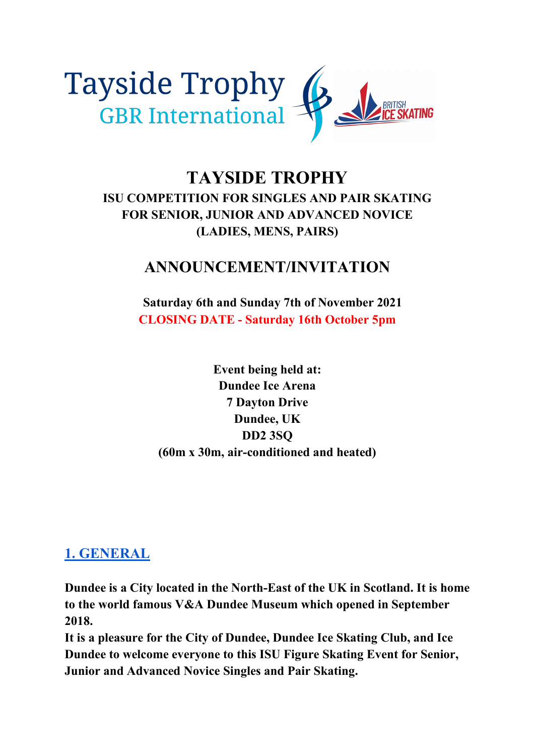

# **TAYSIDE TROPHY ISU COMPETITION FOR SINGLES AND PAIR SKATING FOR SENIOR, JUNIOR AND ADVANCED NOVICE (LADIES, MENS, PAIRS)**

# **ANNOUNCEMENT/INVITATION**

 **Saturday 6th and Sunday 7th of November 2021 CLOSING DATE - Saturday 16th October 5pm**

**Event being held at: Dundee Ice Arena 7 Dayton Drive Dundee, UK DD2 3SQ (60m x 30m, air-conditioned and heated)**

## **1. GENERAL**

**Dundee is a City located in the North-East of the UK in Scotland. It is home to the world famous V&A Dundee Museum which opened in September 2018.** 

**It is a pleasure for the City of Dundee, Dundee Ice Skating Club, and Ice Dundee to welcome everyone to this ISU Figure Skating Event for Senior, Junior and Advanced Novice Singles and Pair Skating.**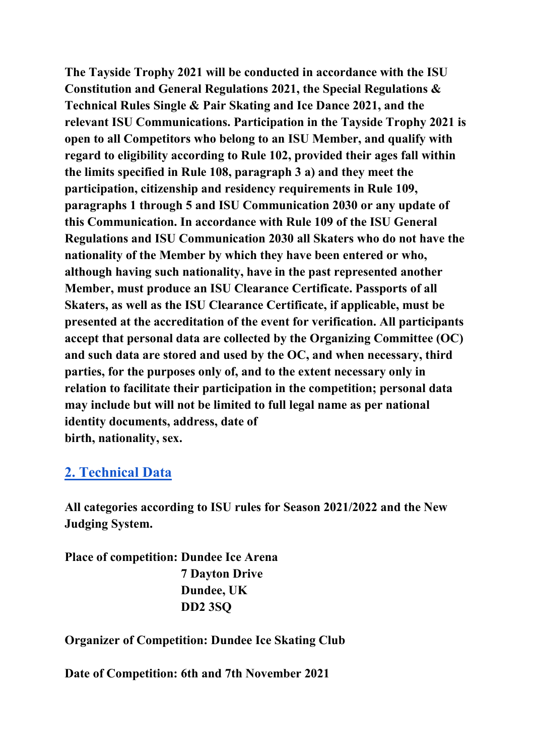**The Tayside Trophy 2021 will be conducted in accordance with the ISU Constitution and General Regulations 2021, the Special Regulations & Technical Rules Single & Pair Skating and Ice Dance 2021, and the relevant ISU Communications. Participation in the Tayside Trophy 2021 is open to all Competitors who belong to an ISU Member, and qualify with regard to eligibility according to Rule 102, provided their ages fall within the limits specified in Rule 108, paragraph 3 a) and they meet the participation, citizenship and residency requirements in Rule 109, paragraphs 1 through 5 and ISU Communication 2030 or any update of this Communication. In accordance with Rule 109 of the ISU General Regulations and ISU Communication 2030 all Skaters who do not have the nationality of the Member by which they have been entered or who, although having such nationality, have in the past represented another Member, must produce an ISU Clearance Certificate. Passports of all Skaters, as well as the ISU Clearance Certificate, if applicable, must be presented at the accreditation of the event for verification. All participants accept that personal data are collected by the Organizing Committee (OC) and such data are stored and used by the OC, and when necessary, third parties, for the purposes only of, and to the extent necessary only in relation to facilitate their participation in the competition; personal data may include but will not be limited to full legal name as per national identity documents, address, date of birth, nationality, sex.**

## **2. Technical Data**

**All categories according to ISU rules for Season 2021/2022 and the New Judging System.** 

**Place of competition: Dundee Ice Arena 7 Dayton Drive Dundee, UK DD2 3SQ**

### **Organizer of Competition: Dundee Ice Skating Club**

**Date of Competition: 6th and 7th November 2021**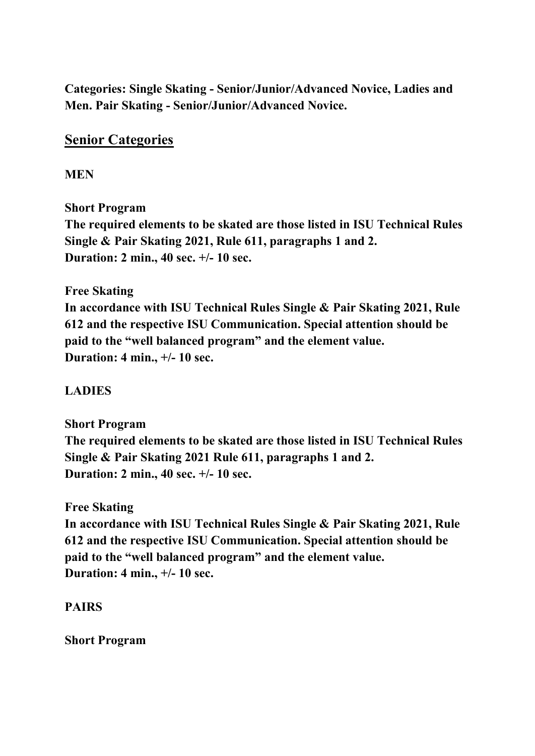**Categories: Single Skating - Senior/Junior/Advanced Novice, Ladies and Men. Pair Skating - Senior/Junior/Advanced Novice.**

## **Senior Categories**

**MEN** 

**Short Program** 

**The required elements to be skated are those listed in ISU Technical Rules Single & Pair Skating 2021, Rule 611, paragraphs 1 and 2. Duration: 2 min., 40 sec. +/- 10 sec.** 

**Free Skating** 

**In accordance with ISU Technical Rules Single & Pair Skating 2021, Rule 612 and the respective ISU Communication. Special attention should be paid to the "well balanced program" and the element value. Duration: 4 min., +/- 10 sec.**

#### **LADIES**

**Short Program The required elements to be skated are those listed in ISU Technical Rules Single & Pair Skating 2021 Rule 611, paragraphs 1 and 2. Duration: 2 min., 40 sec. +/- 10 sec.**

#### **Free Skating**

**In accordance with ISU Technical Rules Single & Pair Skating 2021, Rule 612 and the respective ISU Communication. Special attention should be paid to the "well balanced program" and the element value. Duration: 4 min., +/- 10 sec.**

#### **PAIRS**

**Short Program**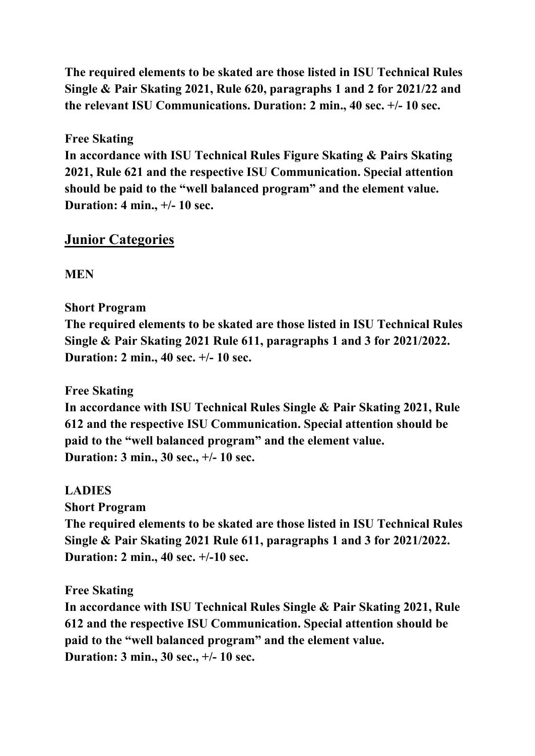**The required elements to be skated are those listed in ISU Technical Rules Single & Pair Skating 2021, Rule 620, paragraphs 1 and 2 for 2021/22 and the relevant ISU Communications. Duration: 2 min., 40 sec. +/- 10 sec.** 

### **Free Skating**

**In accordance with ISU Technical Rules Figure Skating & Pairs Skating 2021, Rule 621 and the respective ISU Communication. Special attention should be paid to the "well balanced program" and the element value. Duration: 4 min., +/- 10 sec.** 

## **Junior Categories**

**MEN** 

## **Short Program**

**The required elements to be skated are those listed in ISU Technical Rules Single & Pair Skating 2021 Rule 611, paragraphs 1 and 3 for 2021/2022. Duration: 2 min., 40 sec. +/- 10 sec.** 

### **Free Skating**

**In accordance with ISU Technical Rules Single & Pair Skating 2021, Rule 612 and the respective ISU Communication. Special attention should be paid to the "well balanced program" and the element value. Duration: 3 min., 30 sec., +/- 10 sec.**

### **LADIES**

**Short Program** 

**The required elements to be skated are those listed in ISU Technical Rules Single & Pair Skating 2021 Rule 611, paragraphs 1 and 3 for 2021/2022. Duration: 2 min., 40 sec. +/-10 sec.** 

**Free Skating** 

**In accordance with ISU Technical Rules Single & Pair Skating 2021, Rule 612 and the respective ISU Communication. Special attention should be paid to the "well balanced program" and the element value. Duration: 3 min., 30 sec., +/- 10 sec.**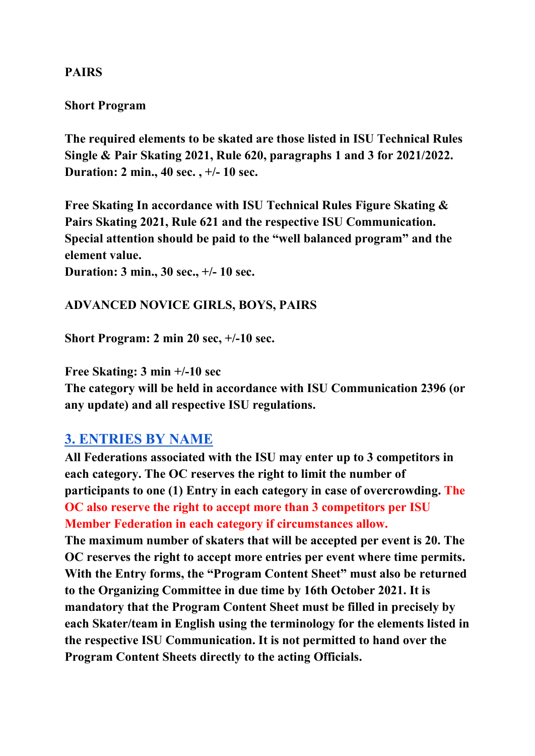### **PAIRS**

#### **Short Program**

**The required elements to be skated are those listed in ISU Technical Rules Single & Pair Skating 2021, Rule 620, paragraphs 1 and 3 for 2021/2022. Duration: 2 min., 40 sec. , +/- 10 sec.**

**Free Skating In accordance with ISU Technical Rules Figure Skating & Pairs Skating 2021, Rule 621 and the respective ISU Communication. Special attention should be paid to the "well balanced program" and the element value.** 

**Duration: 3 min., 30 sec., +/- 10 sec.** 

### **ADVANCED NOVICE GIRLS, BOYS, PAIRS**

**Short Program: 2 min 20 sec, +/-10 sec.** 

**Free Skating: 3 min +/-10 sec** 

**The category will be held in accordance with ISU Communication 2396 (or any update) and all respective ISU regulations.** 

## **3. ENTRIES BY NAME**

**All Federations associated with the ISU may enter up to 3 competitors in each category. The OC reserves the right to limit the number of participants to one (1) Entry in each category in case of overcrowding. The OC also reserve the right to accept more than 3 competitors per ISU Member Federation in each category if circumstances allow.**

**The maximum number of skaters that will be accepted per event is 20. The OC reserves the right to accept more entries per event where time permits. With the Entry forms, the "Program Content Sheet" must also be returned to the Organizing Committee in due time by 16th October 2021. It is mandatory that the Program Content Sheet must be filled in precisely by each Skater/team in English using the terminology for the elements listed in the respective ISU Communication. It is not permitted to hand over the Program Content Sheets directly to the acting Officials.**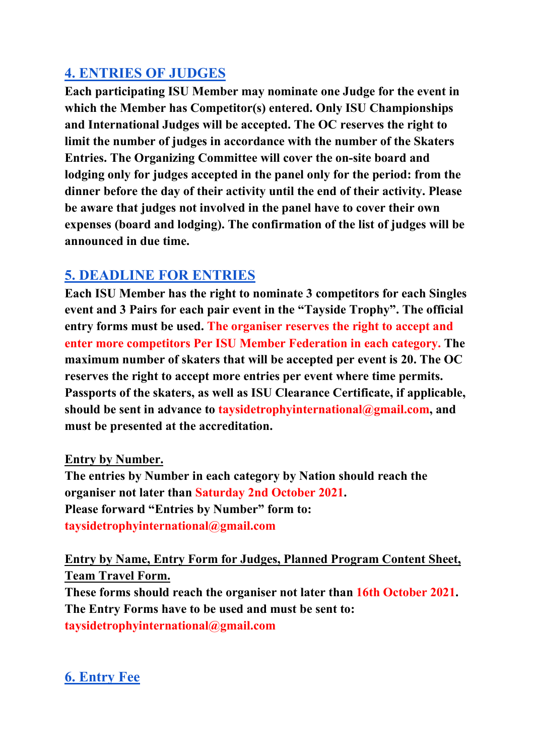# **4. ENTRIES OF JUDGES**

**Each participating ISU Member may nominate one Judge for the event in which the Member has Competitor(s) entered. Only ISU Championships and International Judges will be accepted. The OC reserves the right to limit the number of judges in accordance with the number of the Skaters Entries. The Organizing Committee will cover the on-site board and lodging only for judges accepted in the panel only for the period: from the dinner before the day of their activity until the end of their activity. Please be aware that judges not involved in the panel have to cover their own expenses (board and lodging). The confirmation of the list of judges will be announced in due time.**

# **5. DEADLINE FOR ENTRIES**

**Each ISU Member has the right to nominate 3 competitors for each Singles event and 3 Pairs for each pair event in the "Tayside Trophy". The official entry forms must be used. The organiser reserves the right to accept and enter more competitors Per ISU Member Federation in each category. The maximum number of skaters that will be accepted per event is 20. The OC reserves the right to accept more entries per event where time permits. Passports of the skaters, as well as ISU Clearance Certificate, if applicable, should be sent in advance to taysidetrophyinternational@gmail.com, and must be presented at the accreditation.** 

**Entry by Number.**

**The entries by Number in each category by Nation should reach the organiser not later than Saturday 2nd October 2021. Please forward "Entries by Number" form to: taysidetrophyinternational@gmail.com**

**Entry by Name, Entry Form for Judges, Planned Program Content Sheet, Team Travel Form.**

**These forms should reach the organiser not later than 16th October 2021. The Entry Forms have to be used and must be sent to: taysidetrophyinternational@gmail.com**

# **6. Entry Fee**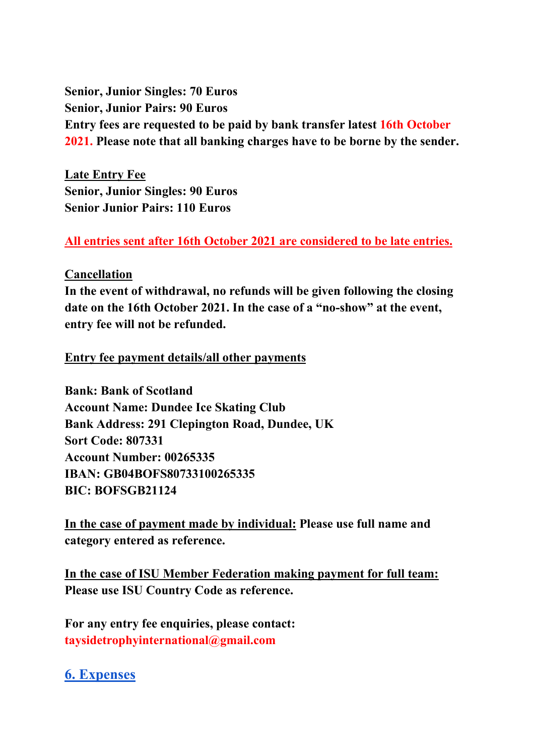**Senior, Junior Singles: 70 Euros Senior, Junior Pairs: 90 Euros Entry fees are requested to be paid by bank transfer latest 16th October 2021. Please note that all banking charges have to be borne by the sender.**

**Late Entry Fee Senior, Junior Singles: 90 Euros Senior Junior Pairs: 110 Euros**

#### **All entries sent after 16th October 2021 are considered to be late entries.**

#### **Cancellation**

**In the event of withdrawal, no refunds will be given following the closing date on the 16th October 2021. In the case of a "no-show" at the event, entry fee will not be refunded.**

**Entry fee payment details/all other payments**

**Bank: Bank of Scotland Account Name: Dundee Ice Skating Club Bank Address: 291 Clepington Road, Dundee, UK Sort Code: 807331 Account Number: 00265335 IBAN: GB04BOFS80733100265335 BIC: BOFSGB21124**

**In the case of payment made by individual: Please use full name and category entered as reference.**

**In the case of ISU Member Federation making payment for full team: Please use ISU Country Code as reference.**

**For any entry fee enquiries, please contact: taysidetrophyinternational@gmail.com**

### **6. Expenses**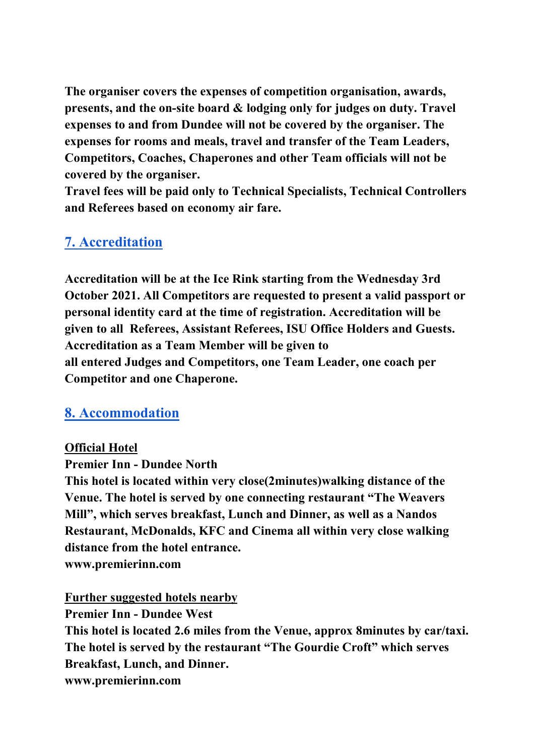**The organiser covers the expenses of competition organisation, awards, presents, and the on-site board & lodging only for judges on duty. Travel expenses to and from Dundee will not be covered by the organiser. The expenses for rooms and meals, travel and transfer of the Team Leaders, Competitors, Coaches, Chaperones and other Team officials will not be covered by the organiser.**

**Travel fees will be paid only to Technical Specialists, Technical Controllers and Referees based on economy air fare.**

## **7. Accreditation**

**Accreditation will be at the Ice Rink starting from the Wednesday 3rd October 2021. All Competitors are requested to present a valid passport or personal identity card at the time of registration. Accreditation will be given to all Referees, Assistant Referees, ISU Office Holders and Guests. Accreditation as a Team Member will be given to all entered Judges and Competitors, one Team Leader, one coach per Competitor and one Chaperone.**

## **8. Accommodation**

#### **Official Hotel**

**Premier Inn - Dundee North**

**This hotel is located within very close(2minutes)walking distance of the Venue. The hotel is served by one connecting restaurant "The Weavers Mill", which serves breakfast, Lunch and Dinner, as well as a Nandos Restaurant, McDonalds, KFC and Cinema all within very close walking distance from the hotel entrance.**

**www.premierinn.com**

**Further suggested hotels nearby**

**Premier Inn - Dundee West This hotel is located 2.6 miles from the Venue, approx 8minutes by car/taxi. The hotel is served by the restaurant "The Gourdie Croft" which serves Breakfast, Lunch, and Dinner. www.premierinn.com**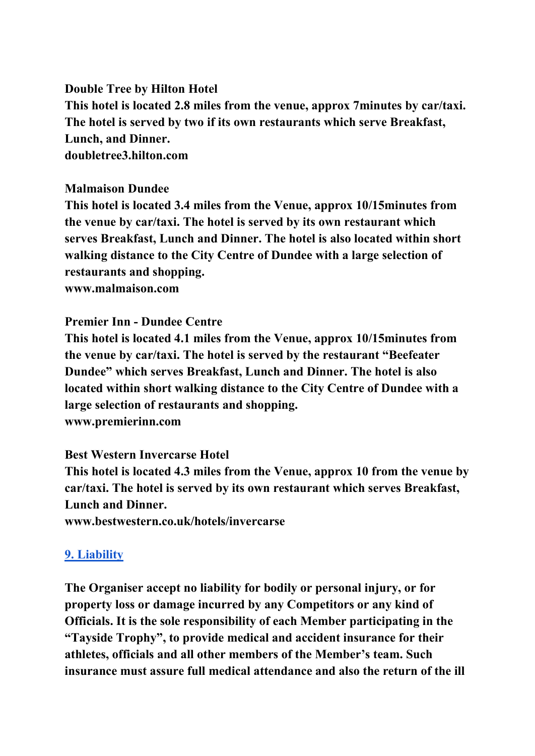**Double Tree by Hilton Hotel This hotel is located 2.8 miles from the venue, approx 7minutes by car/taxi. The hotel is served by two if its own restaurants which serve Breakfast, Lunch, and Dinner. doubletree3.hilton.com**

#### **Malmaison Dundee**

**This hotel is located 3.4 miles from the Venue, approx 10/15minutes from the venue by car/taxi. The hotel is served by its own restaurant which serves Breakfast, Lunch and Dinner. The hotel is also located within short walking distance to the City Centre of Dundee with a large selection of restaurants and shopping.**

**www.malmaison.com**

#### **Premier Inn - Dundee Centre**

**This hotel is located 4.1 miles from the Venue, approx 10/15minutes from the venue by car/taxi. The hotel is served by the restaurant "Beefeater Dundee" which serves Breakfast, Lunch and Dinner. The hotel is also located within short walking distance to the City Centre of Dundee with a large selection of restaurants and shopping. www.premierinn.com**

#### **Best Western Invercarse Hotel**

**This hotel is located 4.3 miles from the Venue, approx 10 from the venue by car/taxi. The hotel is served by its own restaurant which serves Breakfast, Lunch and Dinner.**

**www.bestwestern.co.uk/hotels/invercarse**

#### **9. Liability**

**The Organiser accept no liability for bodily or personal injury, or for property loss or damage incurred by any Competitors or any kind of Officials. It is the sole responsibility of each Member participating in the "Tayside Trophy", to provide medical and accident insurance for their athletes, officials and all other members of the Member's team. Such insurance must assure full medical attendance and also the return of the ill**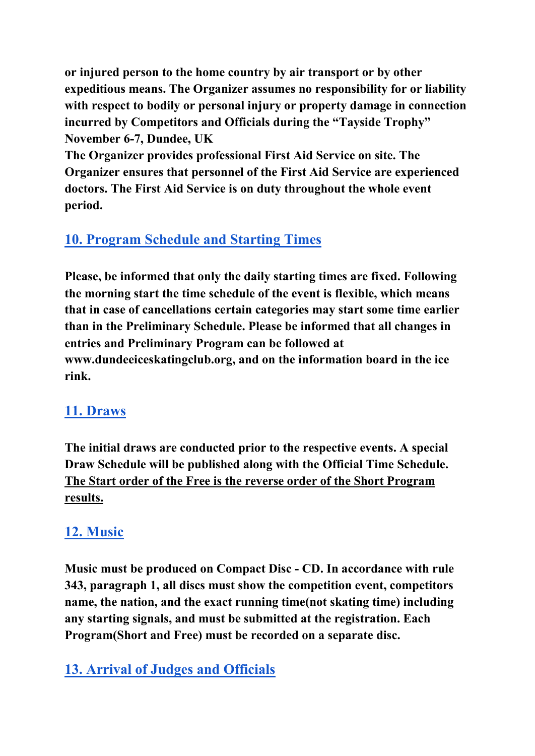**or injured person to the home country by air transport or by other expeditious means. The Organizer assumes no responsibility for or liability with respect to bodily or personal injury or property damage in connection incurred by Competitors and Officials during the "Tayside Trophy" November 6-7, Dundee, UK**

**The Organizer provides professional First Aid Service on site. The Organizer ensures that personnel of the First Aid Service are experienced doctors. The First Aid Service is on duty throughout the whole event period.**

# **10. Program Schedule and Starting Times**

**Please, be informed that only the daily starting times are fixed. Following the morning start the time schedule of the event is flexible, which means that in case of cancellations certain categories may start some time earlier than in the Preliminary Schedule. Please be informed that all changes in entries and Preliminary Program can be followed at www.dundeeiceskatingclub.org, and on the information board in the ice rink.**

# **11. Draws**

**The initial draws are conducted prior to the respective events. A special Draw Schedule will be published along with the Official Time Schedule. The Start order of the Free is the reverse order of the Short Program results.**

# **12. Music**

**Music must be produced on Compact Disc - CD. In accordance with rule 343, paragraph 1, all discs must show the competition event, competitors name, the nation, and the exact running time(not skating time) including any starting signals, and must be submitted at the registration. Each Program(Short and Free) must be recorded on a separate disc.**

# **13. Arrival of Judges and Officials**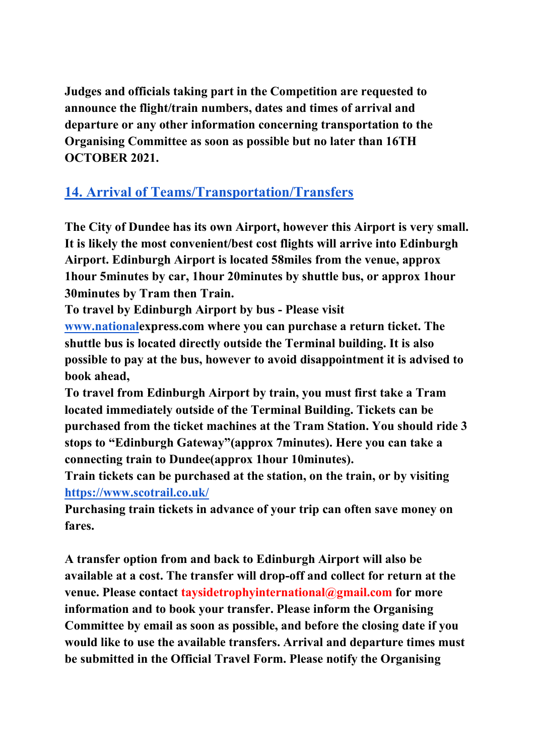**Judges and officials taking part in the Competition are requested to announce the flight/train numbers, dates and times of arrival and departure or any other information concerning transportation to the Organising Committee as soon as possible but no later than 16TH OCTOBER 2021.**

# **14. Arrival of Teams/Transportation/Transfers**

**The City of Dundee has its own Airport, however this Airport is very small. It is likely the most convenient/best cost flights will arrive into Edinburgh Airport. Edinburgh Airport is located 58miles from the venue, approx 1hour 5minutes by car, 1hour 20minutes by shuttle bus, or approx 1hour 30minutes by Tram then Train.**

**To travel by Edinburgh Airport by bus - Please visit** 

**[www.nationale](http://www.national/)xpress.com where you can purchase a return ticket. The shuttle bus is located directly outside the Terminal building. It is also possible to pay at the bus, however to avoid disappointment it is advised to book ahead,**

**To travel from Edinburgh Airport by train, you must first take a Tram located immediately outside of the Terminal Building. Tickets can be purchased from the ticket machines at the Tram Station. You should ride 3 stops to "Edinburgh Gateway"(approx 7minutes). Here you can take a connecting train to Dundee(approx 1hour 10minutes).**

**Train tickets can be purchased at the station, on the train, or by visiting <https://www.scotrail.co.uk/>**

**Purchasing train tickets in advance of your trip can often save money on fares.**

**A transfer option from and back to Edinburgh Airport will also be available at a cost. The transfer will drop-off and collect for return at the venue. Please contact taysidetrophyinternational@gmail.com for more information and to book your transfer. Please inform the Organising Committee by email as soon as possible, and before the closing date if you would like to use the available transfers. Arrival and departure times must be submitted in the Official Travel Form. Please notify the Organising**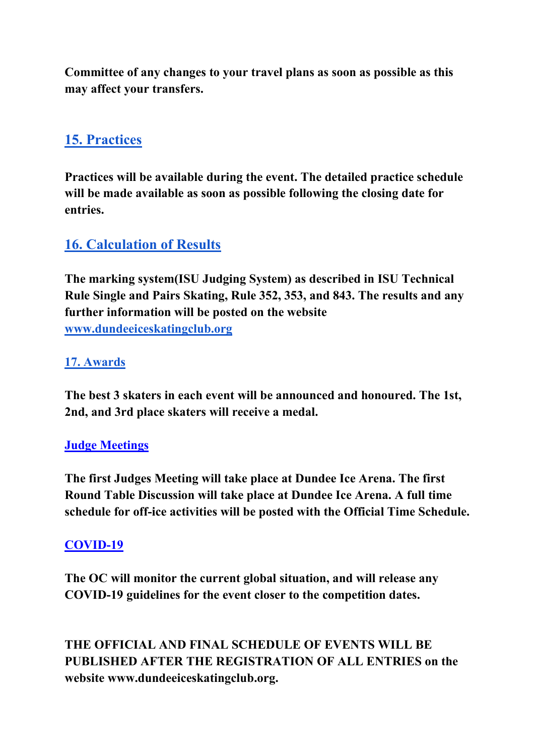**Committee of any changes to your travel plans as soon as possible as this may affect your transfers.**

# **15. Practices**

**Practices will be available during the event. The detailed practice schedule will be made available as soon as possible following the closing date for entries.**

# **16. Calculation of Results**

**The marking system(ISU Judging System) as described in ISU Technical Rule Single and Pairs Skating, Rule 352, 353, and 843. The results and any further information will be posted on the website [www.dundeeiceskatingclub.org](http://www.dundeeiceskatingclub.org/)**

## **17. Awards**

**The best 3 skaters in each event will be announced and honoured. The 1st, 2nd, and 3rd place skaters will receive a medal.** 

### **Judge Meetings**

**The first Judges Meeting will take place at Dundee Ice Arena. The first Round Table Discussion will take place at Dundee Ice Arena. A full time schedule for off-ice activities will be posted with the Official Time Schedule.**

### **COVID-19**

**The OC will monitor the current global situation, and will release any COVID-19 guidelines for the event closer to the competition dates.**

**THE OFFICIAL AND FINAL SCHEDULE OF EVENTS WILL BE PUBLISHED AFTER THE REGISTRATION OF ALL ENTRIES on the website www.dundeeiceskatingclub.org.**